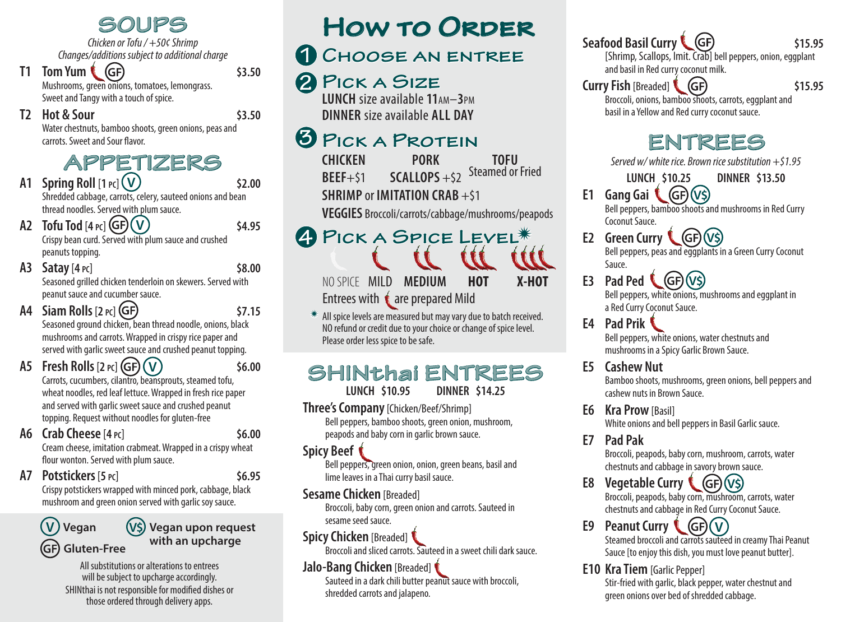**SOUPS**

*Chicken or Tofu / +50¢ Shrimp Changes/additions subject to additional charge*

**T1 Tom Yum** (GF) 53.50 Mushrooms, green onions, tomatoes, lemongrass. Sweet and Tangy with a touch of spice.

**T2 Hot & Sour \$3.50**

Water chestnuts, bamboo shoots, green onions, peas and carrots. Sweet and Sour flavor.

## **APPETIZERS**

- **A1 Spring Roll**  $[1 \text{ pc}](\bigvee)$  \$2.00 Shredded cabbage, carrots, celery, sauteed onions and bean thread noodles. Served with plum sauce.
- **A2 Tofu Tod**  $[4 \text{ } p \text{ } c]$  **(GF)**  $(V)$  **\$4.95** Crispy bean curd. Served with plum sauce and crushed peanuts topping.
- **A3 Satay**[**4 pc**] **\$8.00** Seasoned grilled chicken tenderloin on skewers. Served with peanut sauce and cucumber sauce.
- **A4 Siam Rolls**[**2 pc**] **\$7.15** Seasoned ground chicken, bean thread noodle, onions, black mushrooms and carrots. Wrapped in crispy rice paper and served with garlic sweet sauce and crushed peanut topping.
- **A5 Fresh Rolls**[**2 pc**] **\$6.00 V** Carrots, cucumbers, cilantro, beansprouts, steamed tofu, wheat noodles, red leaf lettuce. Wrapped in fresh rice paper and served with garlic sweet sauce and crushed peanut topping. Request without noodles for gluten-free
- **A6 Crab Cheese**[**4 pc**] **\$6.00**

Cream cheese, imitation crabmeat. Wrapped in a crispy wheat flour wonton. Served with plum sauce.

**A7 Potstickers**[**5 pc**] **\$6.95**

Crispy potstickers wrapped with minced pork, cabbage, black mushroom and green onion served with garlic soy sauce.



#### **V\$ Vegan upon request with an upcharge**

All substitutions or alterations to entrees will be subject to upcharge accordingly. SHINthai is not responsible for modified dishes or those ordered through delivery apps.

## **How to Order**

## **Choose an entree 1**

## **Pick a Size 2**

**LUNCH** size available **11**am–**3**pm **DINNER** size available **ALL DAY**

#### **Pick a Protein 3**

**CHICKEN PORK TOFU**  $BEEF+51$   $SCALLOPS+52$ **SHRIMP** or **IMITATION CRAB** +\$1

**VEGGIES** Broccoli/carrots/cabbage/mushrooms/peapods

# **PICK A SPICE LEVEL**<sup>\*</sup>

NO SPICE MILD **MEDIUM HOT X-HOT** Entrees with  $\bullet$  are prepared Mild

 $*$  All spice levels are measured but may vary due to batch received. NO refund or credit due to your choice or change of spice level. Please order less spice to be safe.

## **SHINthai ENTREES**

**LUNCH \$10.95** 

**Three's Company**[Chicken/Beef/Shrimp] Bell peppers, bamboo shoots, green onion, mushroom,

peapods and baby corn in garlic brown sauce.

#### **Spicy Beef**

**4**

Bell peppers, green onion, onion, green beans, basil and lime leaves in a Thai curry basil sauce.

#### **Sesame Chicken** [Breaded]

Broccoli, baby corn, green onion and carrots. Sauteed in sesame seed sauce.

#### **Spicy Chicken** [Breaded]

Broccoli and sliced carrots. Sauteed in a sweet chili dark sauce.

#### **Jalo-Bang Chicken** [Breaded]

Sauteed in a dark chili butter peanut sauce with broccoli, shredded carrots and jalapeno.

## **Seafood Basil Curry (GF)** \$15.95

[Shrimp, Scallops, Imit. Crab] bell peppers, onion, eggplant and basil in Red curry coconut milk.

**Curry Fish** [Breaded] **(GF)** 515.95 Broccoli, onions, bamboo shoots, carrots, eggplant and basil in a Yellow and Red curry coconut sauce.

## **ENTREES**

*Served w/ white rice. Brown rice substitution +\$1.95*

- **LUNCH \$10.25 DINNER \$13.50**
- **E1 Gang Gai**  $(GF)(V5)$ Bell peppers, bamboo shoots and mushrooms in Red Curry Coconut Sauce.

**E2 Green Curry** Bell peppers, peas and eggplants in a Green Curry Coconut Sauce. **(GF)(V\$)** 

- **E3** Pad Ped (GF) (V\$) Bell peppers, white onions, mushrooms and eggplant in a Red Curry Coconut Sauce.
- **E4 Pad Prik** Bell peppers, white onions, water chestnuts and mushrooms in a Spicy Garlic Brown Sauce.

#### **E5 Cashew Nut**

Bamboo shoots, mushrooms, green onions, bell peppers and cashew nuts in Brown Sauce.

**E6 Kra Prow**[Basil] White onions and bell peppers in Basil Garlic sauce.

**E7 Pad Pak**

Broccoli, peapods, baby corn, mushroom, carrots, water chestnuts and cabbage in savory brown sauce.

### **E8** Vegetable Curry (GF) (V\$)

Broccoli, peapods, baby corn, mushroom, carrots, water chestnuts and cabbage in Red Curry Coconut Sauce.

#### **E9** Peanut Curry (GF) (V)

Steamed broccoli and carrots sauteed in creamy Thai Peanut Sauce [to enjoy this dish, you must love peanut butter].

#### **E10 Kra Tiem** [Garlic Pepper]

Stir-fried with garlic, black pepper, water chestnut and green onions over bed of shredded cabbage.